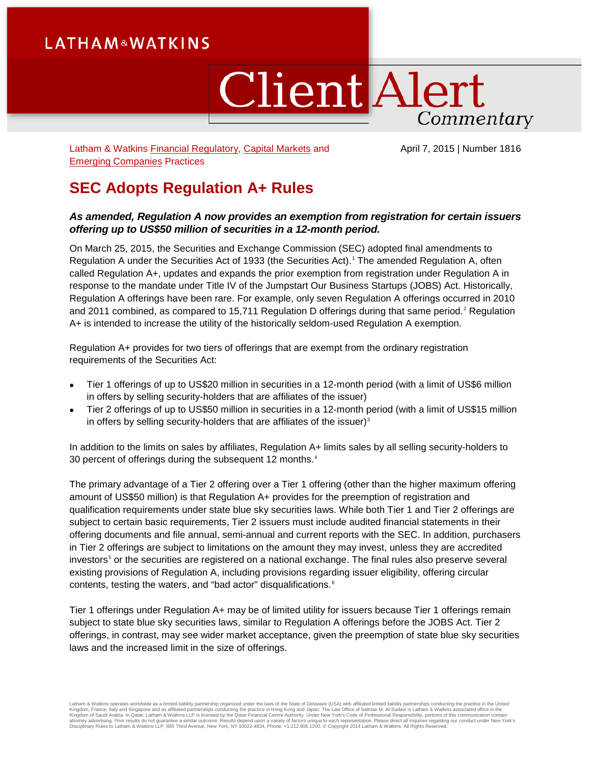# **LATHAM&WATKINS**

# **Client Alert** Commentary

Latham & Watkins [Financial Regulatory,](https://www.lw.com/practices/FinancialRegulatory) [Capital Markets](https://www.lw.com/practices/CapitalMarkets) and [Emerging Companies](https://www.lw.com/practices/EmergingCompanies) Practices

April 7, 2015 | Number 1816

## **SEC Adopts Regulation A+ Rules**

#### *As amended, Regulation A now provides an exemption from registration for certain issuers offering up to US\$50 million of securities in a 12-month period.*

On March 25, 2015, the Securities and Exchange Commission (SEC) adopted final amendments to Regulation A under the Securities Act of 1933 (the Securities Act). [1](#page-9-0) The amended Regulation A, often called Regulation A+, updates and expands the prior exemption from registration under Regulation A in response to the mandate under Title IV of the Jumpstart Our Business Startups (JOBS) Act. Historically, Regulation A offerings have been rare. For example, only seven Regulation A offerings occurred in 2010 and [2](#page-9-1)011 combined, as compared to 15,711 Regulation D offerings during that same period.<sup>2</sup> Regulation A+ is intended to increase the utility of the historically seldom-used Regulation A exemption.

Regulation A+ provides for two tiers of offerings that are exempt from the ordinary registration requirements of the Securities Act:

- Tier 1 offerings of up to US\$20 million in securities in a 12-month period (with a limit of US\$6 million in offers by selling security-holders that are affiliates of the issuer)
- Tier 2 offerings of up to US\$50 million in securities in a 12-month period (with a limit of US\$15 million in offers by selling security-holders that are affiliates of the issuer) $3$

In addition to the limits on sales by affiliates, Regulation A+ limits sales by all selling security-holders to 30 percent of offerings during the subsequent 12 months.<sup>[4](#page-9-3)</sup>

The primary advantage of a Tier 2 offering over a Tier 1 offering (other than the higher maximum offering amount of US\$50 million) is that Regulation A+ provides for the preemption of registration and qualification requirements under state blue sky securities laws. While both Tier 1 and Tier 2 offerings are subject to certain basic requirements, Tier 2 issuers must include audited financial statements in their offering documents and file annual, semi-annual and current reports with the SEC. In addition, purchasers in Tier 2 offerings are subject to limitations on the amount they may invest, unless they are accredited investors<sup>[5](#page-9-4)</sup> or the securities are registered on a national exchange. The final rules also preserve several existing provisions of Regulation A, including provisions regarding issuer eligibility, offering circular contents, testing the waters, and "bad actor" disqualifications.<sup>[6](#page-9-5)</sup>

Tier 1 offerings under Regulation A+ may be of limited utility for issuers because Tier 1 offerings remain subject to state blue sky securities laws, similar to Regulation A offerings before the JOBS Act. Tier 2 offerings, in contrast, may see wider market acceptance, given the preemption of state blue sky securities laws and the increased limit in the size of offerings.

Latham & Watkins operates worldwide as a limited liability partnership organized under the laws of the State of Delaware (USA) with affiliated pirmical liability partnerships conducting the practice in Hong Kong and Japan.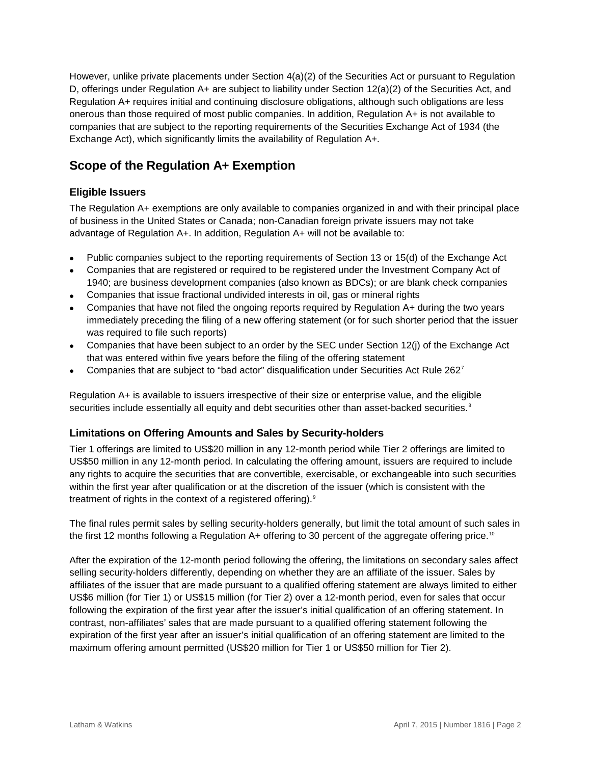However, unlike private placements under Section 4(a)(2) of the Securities Act or pursuant to Regulation D, offerings under Regulation A+ are subject to liability under Section 12(a)(2) of the Securities Act, and Regulation A+ requires initial and continuing disclosure obligations, although such obligations are less onerous than those required of most public companies. In addition, Regulation A+ is not available to companies that are subject to the reporting requirements of the Securities Exchange Act of 1934 (the Exchange Act), which significantly limits the availability of Regulation A+.

## **Scope of the Regulation A+ Exemption**

### **Eligible Issuers**

The Regulation A+ exemptions are only available to companies organized in and with their principal place of business in the United States or Canada; non-Canadian foreign private issuers may not take advantage of Regulation A+. In addition, Regulation A+ will not be available to:

- Public companies subject to the reporting requirements of Section 13 or 15(d) of the Exchange Act
- Companies that are registered or required to be registered under the Investment Company Act of 1940; are business development companies (also known as BDCs); or are blank check companies
- Companies that issue fractional undivided interests in oil, gas or mineral rights
- Companies that have not filed the ongoing reports required by Regulation A+ during the two years immediately preceding the filing of a new offering statement (or for such shorter period that the issuer was required to file such reports)
- Companies that have been subject to an order by the SEC under Section 12(j) of the Exchange Act that was entered within five years before the filing of the offering statement
- Companies that are subject to "bad actor" disqualification under Securities Act Rule 262[7](#page-9-6)

Regulation A+ is available to issuers irrespective of their size or enterprise value, and the eligible securities include essentially all equity and debt securities other than asset-backed securities.<sup>[8](#page-9-7)</sup>

#### **Limitations on Offering Amounts and Sales by Security-holders**

Tier 1 offerings are limited to US\$20 million in any 12-month period while Tier 2 offerings are limited to US\$50 million in any 12-month period. In calculating the offering amount, issuers are required to include any rights to acquire the securities that are convertible, exercisable, or exchangeable into such securities within the first year after qualification or at the discretion of the issuer (which is consistent with the treatment of rights in the context of a registered offering).<sup>[9](#page-9-8)</sup>

The final rules permit sales by selling security-holders generally, but limit the total amount of such sales in the first 12 months following a Regulation A+ offering to 30 percent of the aggregate offering price.<sup>[10](#page-9-9)</sup>

After the expiration of the 12-month period following the offering, the limitations on secondary sales affect selling security-holders differently, depending on whether they are an affiliate of the issuer. Sales by affiliates of the issuer that are made pursuant to a qualified offering statement are always limited to either US\$6 million (for Tier 1) or US\$15 million (for Tier 2) over a 12-month period, even for sales that occur following the expiration of the first year after the issuer's initial qualification of an offering statement. In contrast, non-affiliates' sales that are made pursuant to a qualified offering statement following the expiration of the first year after an issuer's initial qualification of an offering statement are limited to the maximum offering amount permitted (US\$20 million for Tier 1 or US\$50 million for Tier 2).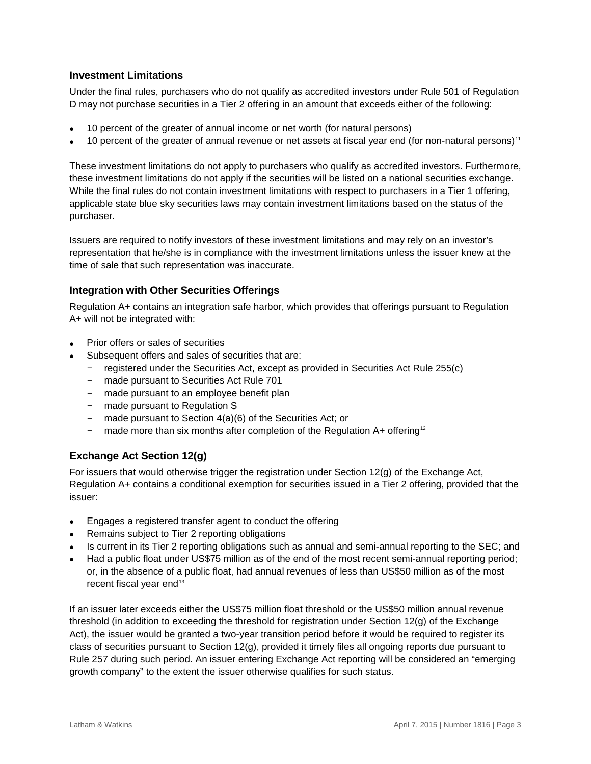#### **Investment Limitations**

Under the final rules, purchasers who do not qualify as accredited investors under Rule 501 of Regulation D may not purchase securities in a Tier 2 offering in an amount that exceeds either of the following:

- 10 percent of the greater of annual income or net worth (for natural persons)
- 10 percent of the greater of annual revenue or net assets at fiscal year end (for non-natural persons)<sup>[11](#page-9-10)</sup>

These investment limitations do not apply to purchasers who qualify as accredited investors. Furthermore, these investment limitations do not apply if the securities will be listed on a national securities exchange. While the final rules do not contain investment limitations with respect to purchasers in a Tier 1 offering, applicable state blue sky securities laws may contain investment limitations based on the status of the purchaser.

Issuers are required to notify investors of these investment limitations and may rely on an investor's representation that he/she is in compliance with the investment limitations unless the issuer knew at the time of sale that such representation was inaccurate.

#### **Integration with Other Securities Offerings**

Regulation A+ contains an integration safe harbor, which provides that offerings pursuant to Regulation A+ will not be integrated with:

- Prior offers or sales of securities
- Subsequent offers and sales of securities that are:
	- registered under the Securities Act, except as provided in Securities Act Rule 255(c)
	- made pursuant to Securities Act Rule 701
	- made pursuant to an employee benefit plan
	- made pursuant to Regulation S
	- made pursuant to Section 4(a)(6) of the Securities Act; or
	- made more than six months after completion of the Regulation  $A+$  offering<sup>[12](#page-9-11)</sup>

#### **Exchange Act Section 12(g)**

For issuers that would otherwise trigger the registration under Section 12(g) of the Exchange Act, Regulation A+ contains a conditional exemption for securities issued in a Tier 2 offering, provided that the issuer:

- Engages a registered transfer agent to conduct the offering
- Remains subject to Tier 2 reporting obligations
- Is current in its Tier 2 reporting obligations such as annual and semi-annual reporting to the SEC; and
- Had a public float under US\$75 million as of the end of the most recent semi-annual reporting period; or, in the absence of a public float, had annual revenues of less than US\$50 million as of the most recent fiscal year end<sup>[13](#page-9-12)</sup>

If an issuer later exceeds either the US\$75 million float threshold or the US\$50 million annual revenue threshold (in addition to exceeding the threshold for registration under Section 12(g) of the Exchange Act), the issuer would be granted a two-year transition period before it would be required to register its class of securities pursuant to Section 12(g), provided it timely files all ongoing reports due pursuant to Rule 257 during such period. An issuer entering Exchange Act reporting will be considered an "emerging growth company" to the extent the issuer otherwise qualifies for such status.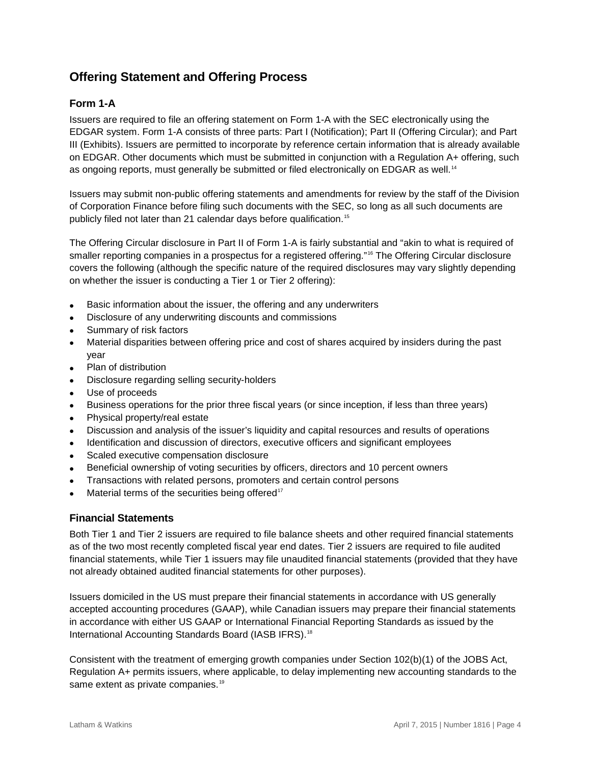## **Offering Statement and Offering Process**

## **Form 1-A**

Issuers are required to file an offering statement on Form 1-A with the SEC electronically using the EDGAR system. Form 1-A consists of three parts: Part I (Notification); Part II (Offering Circular); and Part III (Exhibits). Issuers are permitted to incorporate by reference certain information that is already available on EDGAR. Other documents which must be submitted in conjunction with a Regulation A+ offering, such as ongoing reports, must generally be submitted or filed electronically on EDGAR as well.<sup>[14](#page-9-13)</sup>

Issuers may submit non-public offering statements and amendments for review by the staff of the Division of Corporation Finance before filing such documents with the SEC, so long as all such documents are publicly filed not later than 21 calendar days before qualification. [15](#page-9-14)

The Offering Circular disclosure in Part II of Form 1-A is fairly substantial and "akin to what is required of smaller reporting companies in a prospectus for a registered offering."<sup>[16](#page-9-15)</sup> The Offering Circular disclosure covers the following (although the specific nature of the required disclosures may vary slightly depending on whether the issuer is conducting a Tier 1 or Tier 2 offering):

- Basic information about the issuer, the offering and any underwriters
- Disclosure of any underwriting discounts and commissions
- Summary of risk factors
- Material disparities between offering price and cost of shares acquired by insiders during the past year
- Plan of distribution
- Disclosure regarding selling security-holders
- Use of proceeds
- Business operations for the prior three fiscal years (or since inception, if less than three years)
- Physical property/real estate
- Discussion and analysis of the issuer's liquidity and capital resources and results of operations
- Identification and discussion of directors, executive officers and significant employees
- Scaled executive compensation disclosure
- Beneficial ownership of voting securities by officers, directors and 10 percent owners
- Transactions with related persons, promoters and certain control persons
- Material terms of the securities being offered<sup>[17](#page-9-16)</sup>

#### **Financial Statements**

Both Tier 1 and Tier 2 issuers are required to file balance sheets and other required financial statements as of the two most recently completed fiscal year end dates. Tier 2 issuers are required to file audited financial statements, while Tier 1 issuers may file unaudited financial statements (provided that they have not already obtained audited financial statements for other purposes).

Issuers domiciled in the US must prepare their financial statements in accordance with US generally accepted accounting procedures (GAAP), while Canadian issuers may prepare their financial statements in accordance with either US GAAP or International Financial Reporting Standards as issued by the International Accounting Standards Board (IASB IFRS). [18](#page-9-17)

Consistent with the treatment of emerging growth companies under Section 102(b)(1) of the JOBS Act, Regulation A+ permits issuers, where applicable, to delay implementing new accounting standards to the same extent as private companies. [19](#page-9-18)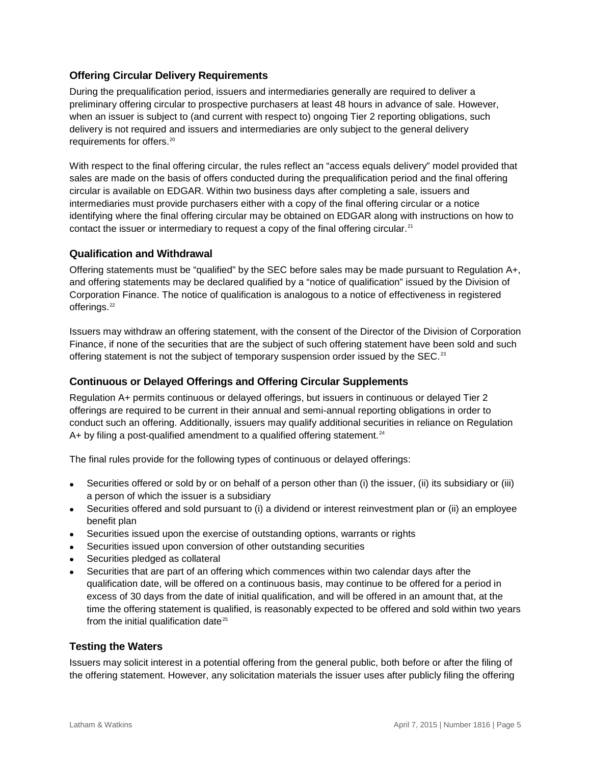#### **Offering Circular Delivery Requirements**

During the prequalification period, issuers and intermediaries generally are required to deliver a preliminary offering circular to prospective purchasers at least 48 hours in advance of sale. However, when an issuer is subject to (and current with respect to) ongoing Tier 2 reporting obligations, such delivery is not required and issuers and intermediaries are only subject to the general delivery requirements for offers.<sup>[20](#page-9-19)</sup>

With respect to the final offering circular, the rules reflect an "access equals delivery" model provided that sales are made on the basis of offers conducted during the prequalification period and the final offering circular is available on EDGAR. Within two business days after completing a sale, issuers and intermediaries must provide purchasers either with a copy of the final offering circular or a notice identifying where the final offering circular may be obtained on EDGAR along with instructions on how to contact the issuer or intermediary to request a copy of the final offering circular.<sup>[21](#page-9-20)</sup>

#### **Qualification and Withdrawal**

Offering statements must be "qualified" by the SEC before sales may be made pursuant to Regulation A+, and offering statements may be declared qualified by a "notice of qualification" issued by the Division of Corporation Finance. The notice of qualification is analogous to a notice of effectiveness in registered offerings.<sup>[22](#page-9-21)</sup>

Issuers may withdraw an offering statement, with the consent of the Director of the Division of Corporation Finance, if none of the securities that are the subject of such offering statement have been sold and such offering statement is not the subject of temporary suspension order issued by the SEC.<sup>[23](#page-9-22)</sup>

#### **Continuous or Delayed Offerings and Offering Circular Supplements**

Regulation A+ permits continuous or delayed offerings, but issuers in continuous or delayed Tier 2 offerings are required to be current in their annual and semi-annual reporting obligations in order to conduct such an offering. Additionally, issuers may qualify additional securities in reliance on Regulation A+ by filing a post-qualified amendment to a qualified offering statement.<sup>[24](#page-9-23)</sup>

The final rules provide for the following types of continuous or delayed offerings:

- Securities offered or sold by or on behalf of a person other than (i) the issuer, (ii) its subsidiary or (iii) a person of which the issuer is a subsidiary
- Securities offered and sold pursuant to (i) a dividend or interest reinvestment plan or (ii) an employee benefit plan
- Securities issued upon the exercise of outstanding options, warrants or rights
- Securities issued upon conversion of other outstanding securities
- Securities pledged as collateral
- Securities that are part of an offering which commences within two calendar days after the qualification date, will be offered on a continuous basis, may continue to be offered for a period in excess of 30 days from the date of initial qualification, and will be offered in an amount that, at the time the offering statement is qualified, is reasonably expected to be offered and sold within two years from the initial qualification date $25$

#### **Testing the Waters**

Issuers may solicit interest in a potential offering from the general public, both before or after the filing of the offering statement. However, any solicitation materials the issuer uses after publicly filing the offering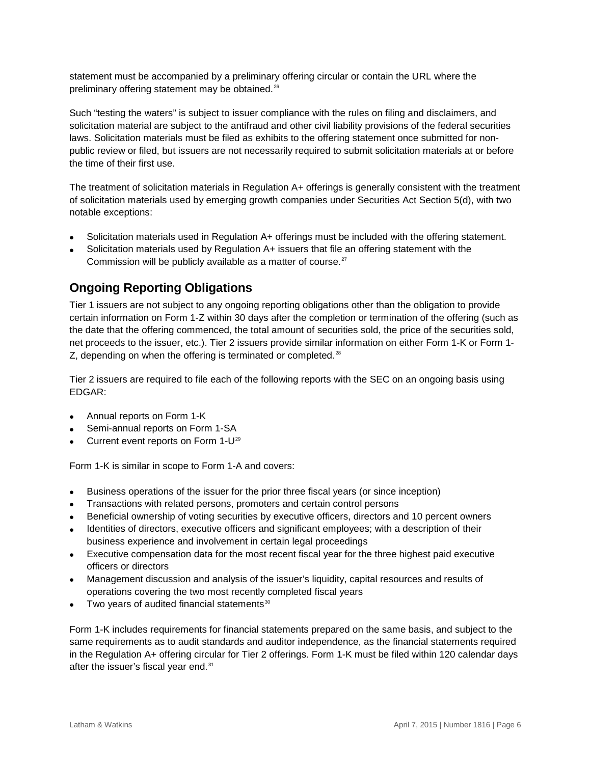statement must be accompanied by a preliminary offering circular or contain the URL where the preliminary offering statement may be obtained.<sup>[26](#page-9-25)</sup>

Such "testing the waters" is subject to issuer compliance with the rules on filing and disclaimers, and solicitation material are subject to the antifraud and other civil liability provisions of the federal securities laws. Solicitation materials must be filed as exhibits to the offering statement once submitted for nonpublic review or filed, but issuers are not necessarily required to submit solicitation materials at or before the time of their first use.

The treatment of solicitation materials in Regulation A+ offerings is generally consistent with the treatment of solicitation materials used by emerging growth companies under Securities Act Section 5(d), with two notable exceptions:

- Solicitation materials used in Regulation A+ offerings must be included with the offering statement.
- Solicitation materials used by Regulation A+ issuers that file an offering statement with the Commission will be publicly available as a matter of course.<sup>[27](#page-9-26)</sup>

## **Ongoing Reporting Obligations**

Tier 1 issuers are not subject to any ongoing reporting obligations other than the obligation to provide certain information on Form 1-Z within 30 days after the completion or termination of the offering (such as the date that the offering commenced, the total amount of securities sold, the price of the securities sold, net proceeds to the issuer, etc.). Tier 2 issuers provide similar information on either Form 1-K or Form 1- Z, depending on when the offering is terminated or completed.<sup>[28](#page-9-27)</sup>

Tier 2 issuers are required to file each of the following reports with the SEC on an ongoing basis using EDGAR:

- Annual reports on Form 1-K
- Semi-annual reports on Form 1-SA
- Current event reports on Form  $1-U^{29}$  $1-U^{29}$  $1-U^{29}$

Form 1-K is similar in scope to Form 1-A and covers:

- Business operations of the issuer for the prior three fiscal years (or since inception)
- Transactions with related persons, promoters and certain control persons
- Beneficial ownership of voting securities by executive officers, directors and 10 percent owners
- Identities of directors, executive officers and significant employees; with a description of their business experience and involvement in certain legal proceedings
- Executive compensation data for the most recent fiscal year for the three highest paid executive officers or directors
- Management discussion and analysis of the issuer's liquidity, capital resources and results of operations covering the two most recently completed fiscal years
- $\bullet$  Two years of audited financial statements $30$

Form 1-K includes requirements for financial statements prepared on the same basis, and subject to the same requirements as to audit standards and auditor independence, as the financial statements required in the Regulation A+ offering circular for Tier 2 offerings. Form 1-K must be filed within 120 calendar days after the issuer's fiscal year end.<sup>[31](#page-9-30)</sup>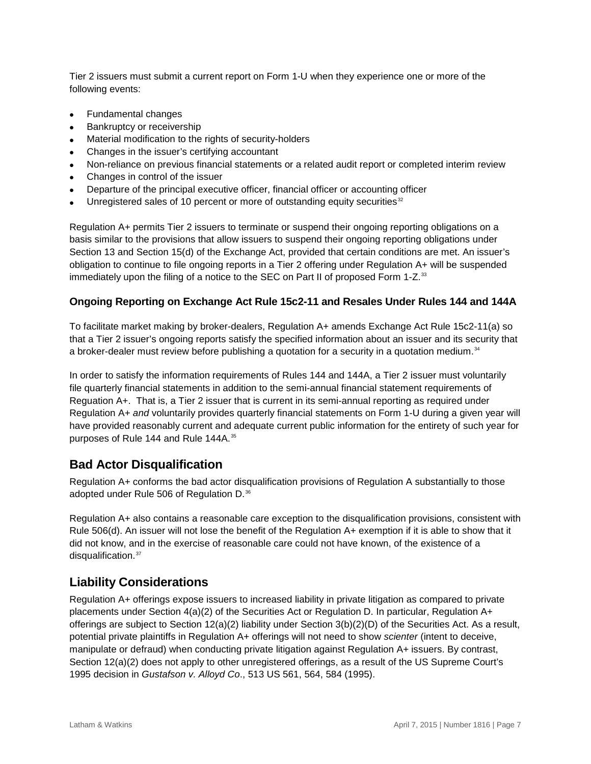Tier 2 issuers must submit a current report on Form 1-U when they experience one or more of the following events:

- Fundamental changes
- Bankruptcy or receivership
- Material modification to the rights of security-holders
- Changes in the issuer's certifying accountant
- Non-reliance on previous financial statements or a related audit report or completed interim review
- Changes in control of the issuer
- Departure of the principal executive officer, financial officer or accounting officer
- Unregistered sales of 10 percent or more of outstanding equity securities $32$

Regulation A+ permits Tier 2 issuers to terminate or suspend their ongoing reporting obligations on a basis similar to the provisions that allow issuers to suspend their ongoing reporting obligations under Section 13 and Section 15(d) of the Exchange Act, provided that certain conditions are met. An issuer's obligation to continue to file ongoing reports in a Tier 2 offering under Regulation A+ will be suspended immediately upon the filing of a notice to the SEC on Part II of proposed Form 1-Z. $^{33}$  $^{33}$  $^{33}$ 

#### **Ongoing Reporting on Exchange Act Rule 15c2-11 and Resales Under Rules 144 and 144A**

To facilitate market making by broker-dealers, Regulation A+ amends Exchange Act Rule 15c2-11(a) so that a Tier 2 issuer's ongoing reports satisfy the specified information about an issuer and its security that a broker-dealer must review before publishing a quotation for a security in a quotation medium. $34$ 

In order to satisfy the information requirements of Rules 144 and 144A, a Tier 2 issuer must voluntarily file quarterly financial statements in addition to the semi-annual financial statement requirements of Reguation A+. That is, a Tier 2 issuer that is current in its semi-annual reporting as required under Regulation A+ *and* voluntarily provides quarterly financial statements on Form 1-U during a given year will have provided reasonably current and adequate current public information for the entirety of such year for purposes of Rule 144 and Rule 144A. [35](#page-9-34)

## **Bad Actor Disqualification**

Regulation A+ conforms the bad actor disqualification provisions of Regulation A substantially to those adopted under Rule 506 of Regulation D.<sup>[36](#page-9-35)</sup>

Regulation A+ also contains a reasonable care exception to the disqualification provisions, consistent with Rule 506(d). An issuer will not lose the benefit of the Regulation A+ exemption if it is able to show that it did not know, and in the exercise of reasonable care could not have known, of the existence of a disqualification.<sup>[37](#page-9-36)</sup>

## **Liability Considerations**

Regulation A+ offerings expose issuers to increased liability in private litigation as compared to private placements under Section 4(a)(2) of the Securities Act or Regulation D. In particular, Regulation A+ offerings are subject to Section 12(a)(2) liability under Section 3(b)(2)(D) of the Securities Act. As a result, potential private plaintiffs in Regulation A+ offerings will not need to show *scienter* (intent to deceive, manipulate or defraud) when conducting private litigation against Regulation A+ issuers. By contrast, Section 12(a)(2) does not apply to other unregistered offerings, as a result of the US Supreme Court's 1995 decision in *Gustafson v. Alloyd Co*., 513 US 561, 564, 584 (1995).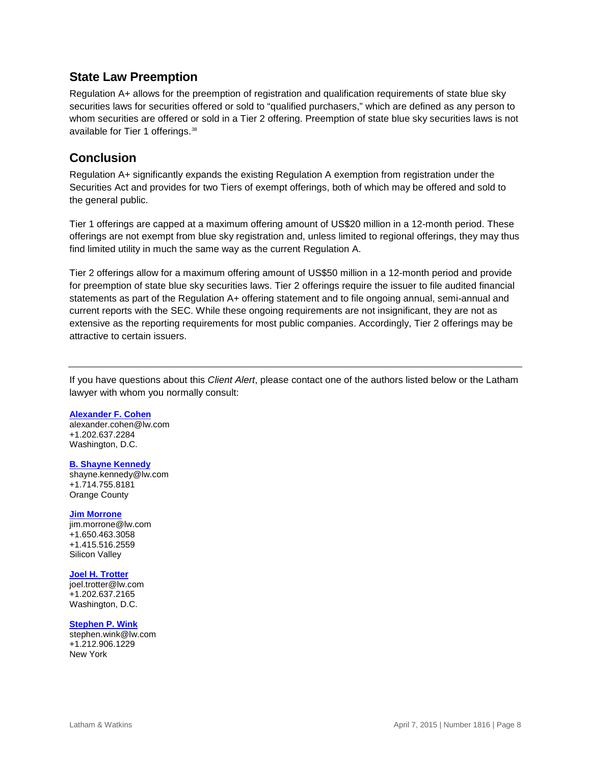## **State Law Preemption**

Regulation A+ allows for the preemption of registration and qualification requirements of state blue sky securities laws for securities offered or sold to "qualified purchasers," which are defined as any person to whom securities are offered or sold in a Tier 2 offering. Preemption of state blue sky securities laws is not available for Tier 1 offerings.<sup>[38](#page-9-37)</sup>

## **Conclusion**

Regulation A+ significantly expands the existing Regulation A exemption from registration under the Securities Act and provides for two Tiers of exempt offerings, both of which may be offered and sold to the general public.

Tier 1 offerings are capped at a maximum offering amount of US\$20 million in a 12-month period. These offerings are not exempt from blue sky registration and, unless limited to regional offerings, they may thus find limited utility in much the same way as the current Regulation A.

Tier 2 offerings allow for a maximum offering amount of US\$50 million in a 12-month period and provide for preemption of state blue sky securities laws. Tier 2 offerings require the issuer to file audited financial statements as part of the Regulation A+ offering statement and to file ongoing annual, semi-annual and current reports with the SEC. While these ongoing requirements are not insignificant, they are not as extensive as the reporting requirements for most public companies. Accordingly, Tier 2 offerings may be attractive to certain issuers.

If you have questions about this *Client Alert*, please contact one of the authors listed below or the Latham lawyer with whom you normally consult:

#### **[Alexander F. Cohen](https://www.lw.com/people/alexander-cohen)**

[alexander.cohen@lw.com](mailto:alexander.cohen@lw.com) +1.202.637.2284 Washington, D.C.

#### **[B. Shayne Kennedy](https://www.lw.com/people/shayne-kennedy)**

[shayne.kennedy@lw.com](mailto:shayne.kennedy@lw.com) +1.714.755.8181 Orange County

#### **[Jim Morrone](https://www.lw.com/people/jim-morrone)**

[jim.morrone@lw.com](mailto:jim.morrone@lw.com) +1.650.463.3058 +1.415.516.2559 Silicon Valley

#### **[Joel H. Trotter](https://www.lw.com/people/joel-trotter)**

[joel.trotter@lw.com](mailto:joel.trotter@lw.com) +1.202.637.2165 Washington, D.C.

#### **[Stephen P. Wink](https://www.lw.com/people/stephen-wink)**

[stephen.wink@lw.com](mailto:stephen.wink@lw.com) +1.212.906.1229 New York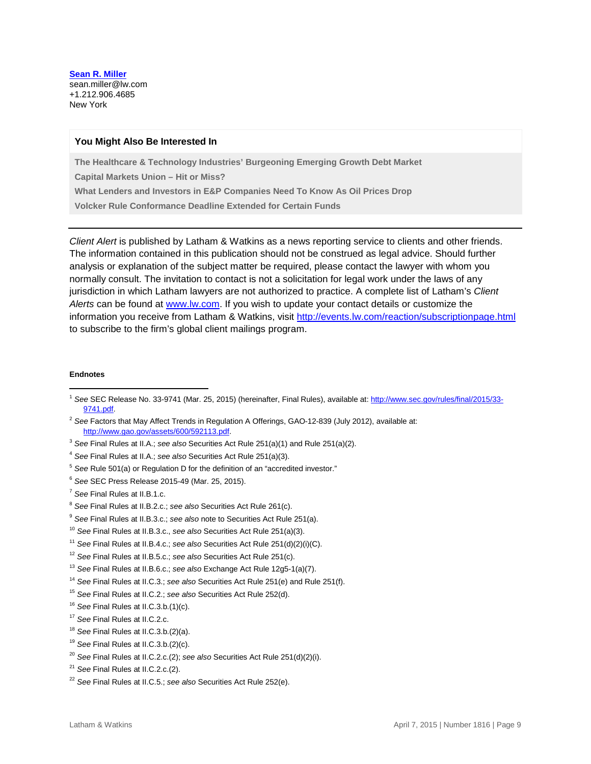**[Sean R.](https://www.lw.com/people/sean-miller) Miller** [sean.miller@lw.com](mailto:sean.miller@lw.com) +1.212.906.4685 New York

#### **You Might Also Be Interested In**

**[The Healthcare & Technology Industries' Burgeoning Emerging Growth Debt Market](https://www.lw.com/thoughtLeadership/emerging-growth-debt-interview)** 

**[Capital Markets Union –](https://www.lw.com/thoughtLeadership/LW-Capital-Markets-Union%E2%80%93Hit-or-Miss) Hit or Miss?**

**[What Lenders and Investors in E&P Companies Need To Know As Oil Prices Drop](https://www.lw.com/thoughtLeadership/lenders-investors-EandP-Companies-dropping-oil-prices)**

**[Volcker Rule Conformance Deadline Extended for Certain Funds](https://www.lw.com/thoughtLeadership/LW-federal-reserve-board-grants-one-year-extension-volcker-rule)**

*Client Alert* is published by Latham & Watkins as a news reporting service to clients and other friends. The information contained in this publication should not be construed as legal advice. Should further analysis or explanation of the subject matter be required, please contact the lawyer with whom you normally consult. The invitation to contact is not a solicitation for legal work under the laws of any jurisdiction in which Latham lawyers are not authorized to practice. A complete list of Latham's *Client Alerts* can be found at [www.lw.com.](http://www.lw.com/) If you wish to update your contact details or customize the information you receive from Latham & Watkins, visit<http://events.lw.com/reaction/subscriptionpage.html> to subscribe to the firm's global client mailings program.

#### **Endnotes**

 $\overline{a}$ 

<sup>6</sup> *See* SEC Press Release 2015-49 (Mar. 25, 2015).

- <sup>16</sup> *See* Final Rules at II.C.3.b.(1)(c).
- <sup>17</sup> *See* Final Rules at II.C.2.c.
- <sup>18</sup> *See* Final Rules at II.C.3.b.(2)(a).
- <sup>19</sup> *See* Final Rules at II.C.3.b.(2)(c).
- <sup>20</sup> *See* Final Rules at II.C.2.c.(2); *see also* Securities Act Rule 251(d)(2)(i).
- <sup>21</sup> *See* Final Rules at II.C.2.c.(2).

<sup>1</sup> *See* SEC Release No. 33-9741 (Mar. 25, 2015) (hereinafter, Final Rules), available at[: http://www.sec.gov/rules/final/2015/33-](http://www.sec.gov/rules/final/2015/33-9741.pdf) [9741.pdf.](http://www.sec.gov/rules/final/2015/33-9741.pdf)

<sup>2</sup> *See* Factors that May Affect Trends in Regulation A Offerings, GAO-12-839 (July 2012), available at: [http://www.gao.gov/assets/600/592113.pdf.](http://www.gao.gov/assets/600/592113.pdf)

<sup>3</sup> *See* Final Rules at II.A.; *see also* Securities Act Rule 251(a)(1) and Rule 251(a)(2).

<sup>4</sup> *See* Final Rules at II.A.; *see also* Securities Act Rule 251(a)(3).

<sup>&</sup>lt;sup>5</sup> See Rule 501(a) or Regulation D for the definition of an "accredited investor."

<sup>7</sup> *See* Final Rules at II.B.1.c.

<sup>8</sup> *See* Final Rules at II.B.2.c.; *see also* Securities Act Rule 261(c).

<sup>9</sup> *See* Final Rules at II.B.3.c.; *see also* note to Securities Act Rule 251(a).

<sup>10</sup> *See* Final Rules at II.B.3.c., *see also* Securities Act Rule 251(a)(3).

<sup>11</sup> *See* Final Rules at II.B.4.c.; *see also* Securities Act Rule 251(d)(2)(i)(C).

<sup>12</sup> *See* Final Rules at II.B.5.c.; *see also* Securities Act Rule 251(c).

<sup>13</sup> *See* Final Rules at II.B.6.c.; *see also* Exchange Act Rule 12g5-1(a)(7).

<sup>14</sup> *See* Final Rules at II.C.3.; *see also* Securities Act Rule 251(e) and Rule 251(f).

<sup>15</sup> *See* Final Rules at II.C.2.; *see also* Securities Act Rule 252(d).

<sup>22</sup> *See* Final Rules at II.C.5.; *see also* Securities Act Rule 252(e).